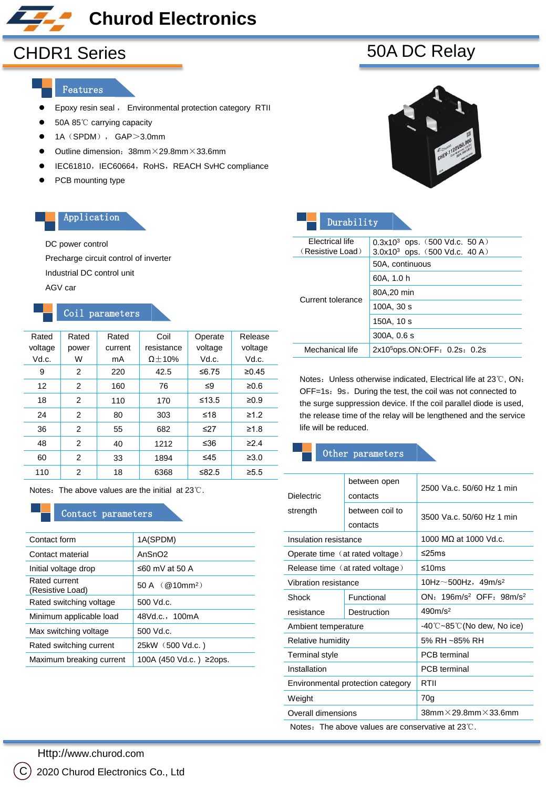### **Churod Electronics**

# CHDR1 Series 60A DC Relay

#### Features

- **Epoxy resin seal**, Environmental protection category RTII
- 50A 85℃ carrying capacity
- $\bullet$  1A (SPDM), GAP>3.0mm
- $\bullet$  Outline dimension: 38mm $\times$ 29.8mm $\times$ 33.6mm
- IEC61810, IEC60664, RoHS, REACH SvHC compliance
- PCB mounting type

#### Application

#### DC power control

Precharge circuit control of inverter

Industrial DC control unit

AGV car

#### Coil parameters

| Rated   | Rated | Rated   | Coil           | Operate   | Release    |
|---------|-------|---------|----------------|-----------|------------|
| voltage | power | current | resistance     | voltage   | voltage    |
| Vd.c.   | W     | mA      | $\Omega$ + 10% | Vd.c.     | Vd.c.      |
| 9       | 2     | 220     | 42.5           | ≤6.75     | ≥0.45      |
| 12      | 2     | 160     | 76             | ≤9        | ≥0.6       |
| 18      | 2     | 110     | 170            | $≤13.5$   | $\geq 0.9$ |
| 24      | 2     | 80      | 303            | ≤18       | $\geq 1.2$ |
| 36      | 2     | 55      | 682            | $\leq$ 27 | $\geq 1.8$ |
| 48      | 2     | 40      | 1212           | ≤36       | $\geq$ 2.4 |
| 60      | 2     | 33      | 1894           | ≤45       | $\geq 3.0$ |
| 110     | 2     | 18      | 6368           | ≤ $82.5$  | $\geq 5.5$ |

Notes: The above values are the initial at 23℃.

#### Contact parameters

| 1A (SPDM)                     |
|-------------------------------|
| AnSnO <sub>2</sub>            |
| ≤60 mV at 50 A                |
| 50A $(Q10)$ mm <sup>2</sup> ) |
| 500 Vd.c.                     |
| 48Vd.c., 100mA                |
| 500 Vd.c.                     |
| 25kW (500 Vd.c.)              |
| 100A (450 Vd.c.) ≥2ops.       |
|                               |

| Durability        |                                                     |  |  |  |  |  |
|-------------------|-----------------------------------------------------|--|--|--|--|--|
| Electrical life   | $0.3x10^3$ ops. (500 Vd.c. 50 A)                    |  |  |  |  |  |
| (Resistive Load)  | $3.0x10^3$ ops. $(500 \text{ Vd.c. } 40 \text{ A})$ |  |  |  |  |  |
|                   | 50A, continuous                                     |  |  |  |  |  |
|                   | 60A, 1.0 h                                          |  |  |  |  |  |
| Current tolerance | 80A, 20 min                                         |  |  |  |  |  |
|                   | 100A, 30 s                                          |  |  |  |  |  |
|                   | 150A, 10 s                                          |  |  |  |  |  |
|                   | 300A, 0.6 s                                         |  |  |  |  |  |
| Mechanical life   | 2x10 <sup>5</sup> ops.ON:OFF: 0.2s: 0.2s            |  |  |  |  |  |

Notes: Unless otherwise indicated, Electrical life at 23℃, ON: OFF=1s 9s. During test, the coil was not connected to the surge suppression device. If the coil parallel diode is used, the release time of the relay will be lengthened and the service life will be reduced.

#### Other parameters

| <b>Dielectric</b>     | between open<br>contacts          | 2500 Va.c. 50/60 Hz 1 min                              |  |  |  |
|-----------------------|-----------------------------------|--------------------------------------------------------|--|--|--|
| strength              | between coil to<br>contacts       | 3500 Va.c. 50/60 Hz 1 min                              |  |  |  |
| Insulation resistance |                                   | 1000 MO at 1000 Vd.c.                                  |  |  |  |
|                       | Operate time (at rated voltage)   | ≤25ms                                                  |  |  |  |
|                       | Release time (at rated voltage)   | ≤10 $ms$                                               |  |  |  |
| Vibration resistance  |                                   | 10Hz $\sim$ 500Hz, 49m/s <sup>2</sup>                  |  |  |  |
| Shock                 | Functional                        | $ON: 196m/s^2$ OFF: $98m/s^2$                          |  |  |  |
| resistance            | Destruction                       | 490m/s <sup>2</sup>                                    |  |  |  |
| Ambient temperature   |                                   | $-40^{\circ}$ C $\sim$ 85 $^{\circ}$ C(No dew, No ice) |  |  |  |
| Relative humidity     |                                   | 5% RH ~85% RH                                          |  |  |  |
| Terminal style        |                                   | <b>PCB</b> terminal                                    |  |  |  |
| Installation          |                                   | <b>PCB</b> terminal                                    |  |  |  |
|                       | Environmental protection category | RTII                                                   |  |  |  |
| Weight                |                                   | 70g                                                    |  |  |  |
| Overall dimensions    |                                   | $38$ mm $\times$ 29.8mm $\times$ 33.6mm                |  |  |  |
|                       |                                   |                                                        |  |  |  |

Notes: The above values are conservative at 23℃.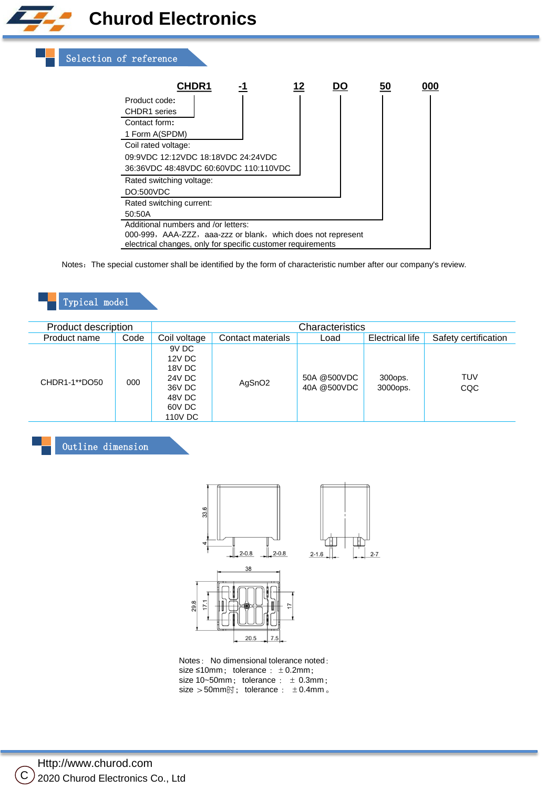## **Churod Electronics**



| <b>CHDR1</b>                                                 |  |  |  |  |  |
|--------------------------------------------------------------|--|--|--|--|--|
| Product code:                                                |  |  |  |  |  |
| <b>CHDR1</b> series                                          |  |  |  |  |  |
| Contact form:                                                |  |  |  |  |  |
| 1 Form A (SPDM)                                              |  |  |  |  |  |
| Coil rated voltage:                                          |  |  |  |  |  |
| 09:9VDC 12:12VDC 18:18VDC 24:24VDC                           |  |  |  |  |  |
| 36:36VDC 48:48VDC 60:60VDC 110:110VDC                        |  |  |  |  |  |
| Rated switching voltage:                                     |  |  |  |  |  |
| DO: 500VDC                                                   |  |  |  |  |  |
| Rated switching current:                                     |  |  |  |  |  |
| 50:50A                                                       |  |  |  |  |  |
| Additional numbers and /or letters:                          |  |  |  |  |  |
| 000-999, AAA-ZZZ, aaa-zzz or blank, which does not represent |  |  |  |  |  |
| electrical changes, only for specific customer requirements  |  |  |  |  |  |

Notes: The special customer shall be identified by the form of characteristic number after our company's review.

### Typical model

| Product description |      | Characteristics                                                              |                    |                            |                     |                      |
|---------------------|------|------------------------------------------------------------------------------|--------------------|----------------------------|---------------------|----------------------|
| Product name        | Code | Coil voltage                                                                 | Contact materials  | Load                       | Electrical life     | Safety certification |
| CHDR1-1**DO50       | 000  | 9V DC<br>12V DC<br>18V DC<br>24V DC<br>36V DC<br>48V DC<br>60V DC<br>110V DC | AgSnO <sub>2</sub> | 50A @500VDC<br>40A @500VDC | 300ops.<br>3000ops. | <b>TUV</b><br>CQC    |

Outline dimension



Notes: No dimensional tolerance noted: size  $\leq 10$ mm; tolerance :  $\pm 0.2$ mm; size 10~50mm; tolerance :  $\pm$  0.3mm; size >50mm时; tolerance : ±0.4mm 。